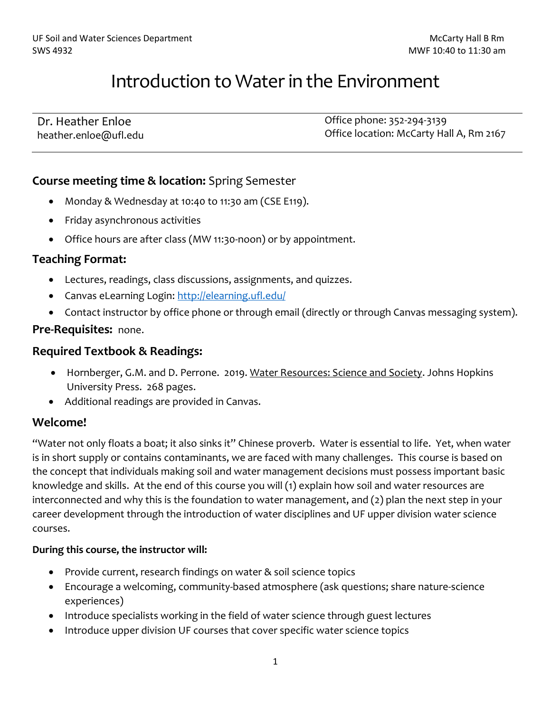# Introduction to Water in the Environment

| Dr. Heather Enloe     | Office phone: 352-294-3139               |
|-----------------------|------------------------------------------|
| heather.enloe@ufl.edu | Office location: McCarty Hall A, Rm 2167 |

#### **Course meeting time & location:** Spring Semester

- Monday & Wednesday at 10:40 to 11:30 am (CSE E119).
- Friday asynchronous activities
- Office hours are after class (MW 11:30-noon) or by appointment.

#### **Teaching Format:**

- Lectures, readings, class discussions, assignments, and quizzes.
- Canvas eLearning Login:<http://elearning.ufl.edu/>
- Contact instructor by office phone or through email (directly or through Canvas messaging system).

#### **Pre-Requisites:** none.

#### **Required Textbook & Readings:**

- Hornberger, G.M. and D. Perrone. 2019. Water Resources: Science and Society. Johns Hopkins University Press. 268 pages.
- Additional readings are provided in Canvas.

#### **Welcome!**

"Water not only floats a boat; it also sinks it" Chinese proverb. Water is essential to life. Yet, when water is in short supply or contains contaminants, we are faced with many challenges. This course is based on the concept that individuals making soil and water management decisions must possess important basic knowledge and skills. At the end of this course you will (1) explain how soil and water resources are interconnected and why this is the foundation to water management, and (2) plan the next step in your career development through the introduction of water disciplines and UF upper division water science courses.

#### **During this course, the instructor will:**

- Provide current, research findings on water & soil science topics
- Encourage a welcoming, community-based atmosphere (ask questions; share nature-science experiences)
- Introduce specialists working in the field of water science through guest lectures
- Introduce upper division UF courses that cover specific water science topics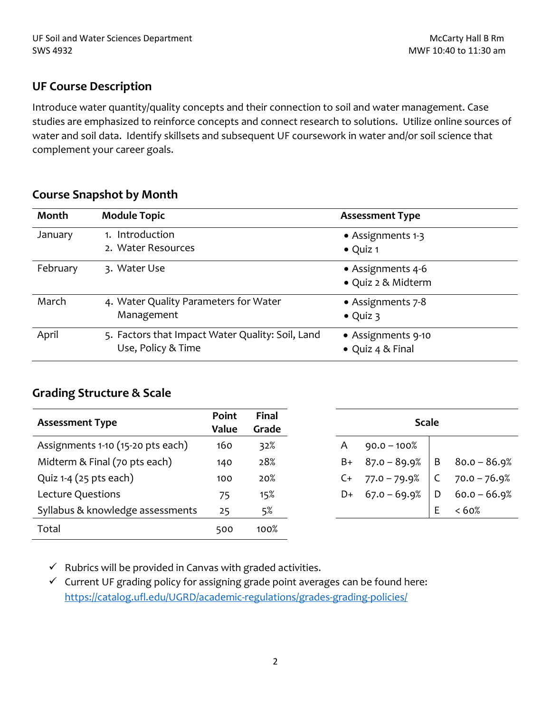#### **UF Course Description**

Introduce water quantity/quality concepts and their connection to soil and water management. Case studies are emphasized to reinforce concepts and connect research to solutions. Utilize online sources of water and soil data. Identify skillsets and subsequent UF coursework in water and/or soil science that complement your career goals.

#### **Course Snapshot by Month**

| Month    | <b>Module Topic</b>                              | <b>Assessment Type</b> |
|----------|--------------------------------------------------|------------------------|
| January  | 1. Introduction                                  | • Assignments 1-3      |
|          | 2. Water Resources                               | $\bullet$ Quiz 1       |
| February | 3. Water Use                                     | • Assignments 4-6      |
|          |                                                  | · Quiz 2 & Midterm     |
| March    | 4. Water Quality Parameters for Water            | • Assignments 7-8      |
|          | Management                                       | $\bullet$ Quiz 3       |
| April    | 5. Factors that Impact Water Quality: Soil, Land | • Assignments 9-10     |
|          | Use, Policy & Time                               | • Quiz 4 & Final       |

# **Grading Structure & Scale**

| <b>Assessment Type</b>            | Point<br>Value | <b>Final</b><br>Grade | <b>Scale</b> |                |   |                |  |  |
|-----------------------------------|----------------|-----------------------|--------------|----------------|---|----------------|--|--|
| Assignments 1-10 (15-20 pts each) | 160            | 32%                   | A            | $90.0 - 100\%$ |   |                |  |  |
| Midterm & Final (70 pts each)     | 140            | 28%                   | B+           | $87.0 - 89.9%$ | B | $80.0 - 86.9%$ |  |  |
| Quiz $1-4$ (25 pts each)          | 100            | 20%                   | C+           | $77.0 - 79.9%$ |   | $70.0 - 76.9%$ |  |  |
| Lecture Questions                 | 75             | 15%                   | D+           | $67.0 - 69.9%$ | D | $60.0 - 66.9%$ |  |  |
| Syllabus & knowledge assessments  | 25             | 5%                    |              |                | Ε | <60%           |  |  |
| Total                             | 500            | 100%                  |              |                |   |                |  |  |

 $\checkmark$  Rubrics will be provided in Canvas with graded activities.

✓ Current UF grading policy for assigning grade point averages can be found here: <https://catalog.ufl.edu/UGRD/academic-regulations/grades-grading-policies/>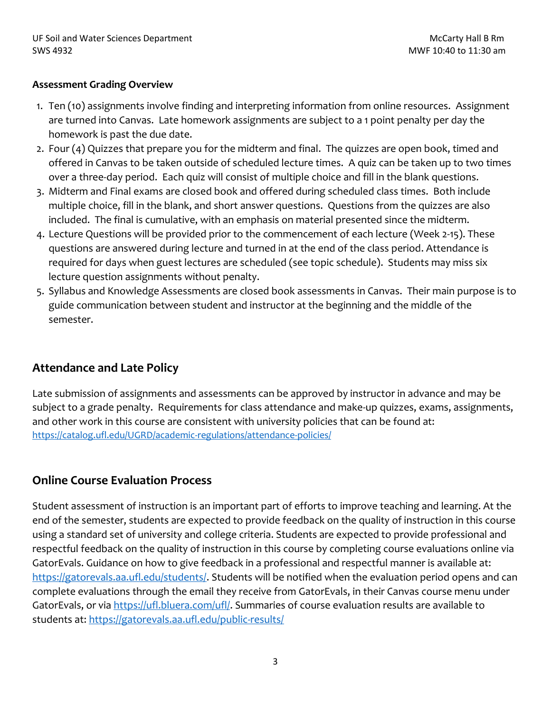#### **Assessment Grading Overview**

- 1. Ten (10) assignments involve finding and interpreting information from online resources. Assignment are turned into Canvas. Late homework assignments are subject to a 1 point penalty per day the homework is past the due date.
- 2. Four (4) Quizzes that prepare you for the midterm and final. The quizzes are open book, timed and offered in Canvas to be taken outside of scheduled lecture times. A quiz can be taken up to two times over a three-day period. Each quiz will consist of multiple choice and fill in the blank questions.
- 3. Midterm and Final exams are closed book and offered during scheduled class times. Both include multiple choice, fill in the blank, and short answer questions. Questions from the quizzes are also included. The final is cumulative, with an emphasis on material presented since the midterm.
- 4. Lecture Questions will be provided prior to the commencement of each lecture (Week 2-15). These questions are answered during lecture and turned in at the end of the class period. Attendance is required for days when guest lectures are scheduled (see topic schedule). Students may miss six lecture question assignments without penalty.
- 5. Syllabus and Knowledge Assessments are closed book assessments in Canvas. Their main purpose is to guide communication between student and instructor at the beginning and the middle of the semester.

# **Attendance and Late Policy**

Late submission of assignments and assessments can be approved by instructor in advance and may be subject to a grade penalty. Requirements for class attendance and make-up quizzes, exams, assignments, and other work in this course are consistent with university policies that can be found at: <https://catalog.ufl.edu/UGRD/academic-regulations/attendance-policies/>

# **Online Course Evaluation Process**

Student assessment of instruction is an important part of efforts to improve teaching and learning. At the end of the semester, students are expected to provide feedback on the quality of instruction in this course using a standard set of university and college criteria. Students are expected to provide professional and respectful feedback on the quality of instruction in this course by completing course evaluations online via GatorEvals. Guidance on how to give feedback in a professional and respectful manner is available at: [https://gatorevals.aa.ufl.edu/students/.](https://gatorevals.aa.ufl.edu/students/) Students will be notified when the evaluation period opens and can complete evaluations through the email they receive from GatorEvals, in their Canvas course menu under GatorEvals, or via [https://ufl.bluera.com/ufl/.](https://ufl.bluera.com/ufl/) Summaries of course evaluation results are available to students at:<https://gatorevals.aa.ufl.edu/public-results/>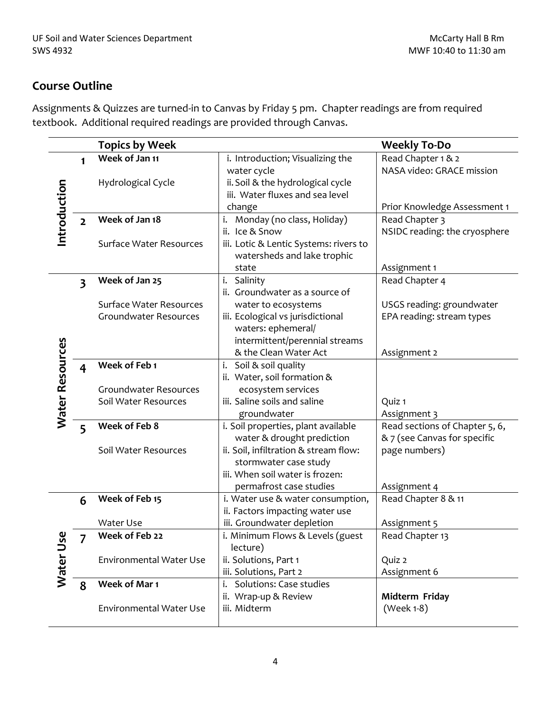# **Course Outline**

Assignments & Quizzes are turned-in to Canvas by Friday 5 pm. Chapter readings are from required textbook. Additional required readings are provided through Canvas.

|                 |                         | <b>Topics by Week</b>          |                                                          | <b>Weekly To-Do</b>                             |
|-----------------|-------------------------|--------------------------------|----------------------------------------------------------|-------------------------------------------------|
|                 | $\mathbf{1}$            | Week of Jan 11                 | i. Introduction; Visualizing the<br>water cycle          | Read Chapter 1 & 2<br>NASA video: GRACE mission |
|                 |                         | Hydrological Cycle             | ii. Soil & the hydrological cycle                        |                                                 |
| Introduction    |                         |                                | iii. Water fluxes and sea level                          |                                                 |
|                 |                         |                                | change                                                   | Prior Knowledge Assessment 1                    |
|                 | $\overline{2}$          | Week of Jan 18                 | i. Monday (no class, Holiday)<br>ii. Ice & Snow          | Read Chapter 3<br>NSIDC reading: the cryosphere |
|                 |                         | <b>Surface Water Resources</b> | iii. Lotic & Lentic Systems: rivers to                   |                                                 |
|                 |                         |                                | watersheds and lake trophic                              |                                                 |
|                 |                         |                                | state                                                    | Assignment 1                                    |
|                 | $\overline{\mathbf{3}}$ | Week of Jan 25                 | i. Salinity                                              | Read Chapter 4                                  |
|                 |                         |                                | ii. Groundwater as a source of                           |                                                 |
|                 |                         | <b>Surface Water Resources</b> | water to ecosystems                                      | USGS reading: groundwater                       |
|                 |                         | Groundwater Resources          | iii. Ecological vs jurisdictional                        | EPA reading: stream types                       |
|                 |                         |                                | waters: ephemeral/                                       |                                                 |
|                 |                         |                                | intermittent/perennial streams<br>& the Clean Water Act  |                                                 |
| Water Resources |                         | Week of Feb 1                  | i.<br>Soil & soil quality                                | Assignment 2                                    |
|                 | $\overline{\mathbf{4}}$ |                                | ii. Water, soil formation &                              |                                                 |
|                 |                         | Groundwater Resources          | ecosystem services                                       |                                                 |
|                 |                         | Soil Water Resources           | iii. Saline soils and saline                             | Quiz 1                                          |
|                 |                         |                                | groundwater                                              | Assignment 3                                    |
|                 | 5                       | Week of Feb 8                  | i. Soil properties, plant available                      | Read sections of Chapter 5, 6,                  |
|                 |                         |                                | water & drought prediction                               | & 7 (see Canvas for specific                    |
|                 |                         | Soil Water Resources           | ii. Soil, infiltration & stream flow:                    | page numbers)                                   |
|                 |                         |                                | stormwater case study<br>iii. When soil water is frozen: |                                                 |
|                 |                         |                                | permafrost case studies                                  | Assignment 4                                    |
|                 | 6                       | Week of Feb 15                 | i. Water use & water consumption,                        | Read Chapter 8 & 11                             |
|                 |                         |                                | ii. Factors impacting water use                          |                                                 |
|                 |                         | Water Use                      | iii. Groundwater depletion                               | Assignment 5                                    |
|                 | $\prime$                | Week of Feb 22                 | i. Minimum Flows & Levels (guest                         | Read Chapter 13                                 |
|                 |                         |                                | lecture)                                                 |                                                 |
|                 |                         | <b>Environmental Water Use</b> | ii. Solutions, Part 1                                    | Quiz 2                                          |
| Water Use       |                         |                                | iii. Solutions, Part 2                                   | Assignment 6                                    |
|                 | 8                       | Week of Mar 1                  | <b>Solutions: Case studies</b><br>i.                     |                                                 |
|                 |                         | <b>Environmental Water Use</b> | ii. Wrap-up & Review<br>iii. Midterm                     | Midterm Friday                                  |
|                 |                         |                                |                                                          | (Week 1-8)                                      |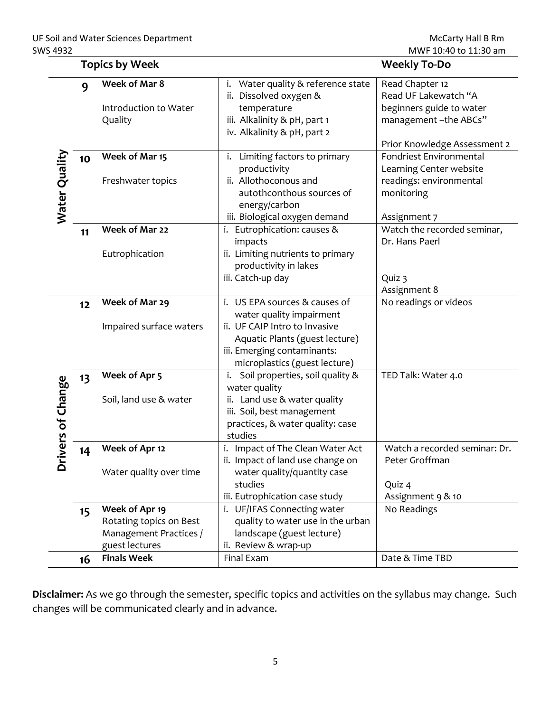|                 |    | <b>Topics by Week</b>                                                                 |                                                                                                                                                                                              | <b>Weekly To-Do</b>                                                                                                         |
|-----------------|----|---------------------------------------------------------------------------------------|----------------------------------------------------------------------------------------------------------------------------------------------------------------------------------------------|-----------------------------------------------------------------------------------------------------------------------------|
|                 | 9  | Week of Mar 8<br>Introduction to Water<br>Quality                                     | i. Water quality & reference state<br>ii. Dissolved oxygen &<br>temperature<br>iii. Alkalinity & pH, part 1<br>iv. Alkalinity & pH, part 2                                                   | Read Chapter 12<br>Read UF Lakewatch "A<br>beginners guide to water<br>management-the ABCs"<br>Prior Knowledge Assessment 2 |
| Water Quality   | 10 | Week of Mar 15<br>Freshwater topics                                                   | i. Limiting factors to primary<br>productivity<br>ii. Allothoconous and<br>autothconthous sources of<br>energy/carbon<br>iii. Biological oxygen demand                                       | Fondriest Environmental<br>Learning Center website<br>readings: environmental<br>monitoring<br>Assignment 7                 |
|                 | 11 | Week of Mar 22<br>Eutrophication                                                      | i. Eutrophication: causes &<br>impacts<br>ii. Limiting nutrients to primary<br>productivity in lakes<br>iii. Catch-up day                                                                    | Watch the recorded seminar,<br>Dr. Hans Paerl<br>Quiz 3<br>Assignment 8                                                     |
|                 | 12 | Week of Mar 29<br>Impaired surface waters                                             | i. US EPA sources & causes of<br>water quality impairment<br>ii. UF CAIP Intro to Invasive<br>Aquatic Plants (guest lecture)<br>iii. Emerging contaminants:<br>microplastics (guest lecture) | No readings or videos                                                                                                       |
| ivers of Change | 13 | Week of Apr 5<br>Soil, land use & water                                               | i. Soil properties, soil quality &<br>water quality<br>ii. Land use & water quality<br>iii. Soil, best management<br>practices, & water quality: case<br>studies                             | TED Talk: Water 4.0                                                                                                         |
| ه               | 14 | Week of Apr 12<br>Water quality over time                                             | i. Impact of The Clean Water Act<br>ii. Impact of land use change on<br>water quality/quantity case<br>studies<br>iii. Eutrophication case study                                             | Watch a recorded seminar: Dr.<br>Peter Groffman<br>Quiz 4<br>Assignment 9 & 10                                              |
|                 | 15 | Week of Apr 19<br>Rotating topics on Best<br>Management Practices /<br>guest lectures | i. UF/IFAS Connecting water<br>quality to water use in the urban<br>landscape (guest lecture)<br>ii. Review & wrap-up                                                                        | No Readings                                                                                                                 |
|                 | 16 | <b>Finals Week</b>                                                                    | Final Exam                                                                                                                                                                                   | Date & Time TBD                                                                                                             |

**Disclaimer:** As we go through the semester, specific topics and activities on the syllabus may change. Such changes will be communicated clearly and in advance.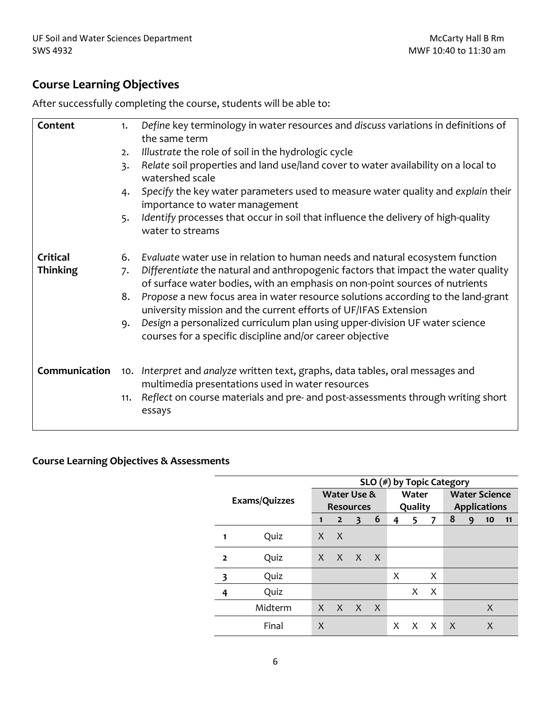# **Course Learning Objectives**

After successfully completing the course, students will be able to:

| Content         | 1.  | Define key terminology in water resources and discuss variations in definitions of<br>the same term                                                              |
|-----------------|-----|------------------------------------------------------------------------------------------------------------------------------------------------------------------|
|                 | 2.  | Illustrate the role of soil in the hydrologic cycle                                                                                                              |
|                 | 3.  | Relate soil properties and land use/land cover to water availability on a local to<br>watershed scale                                                            |
|                 | 4.  | Specify the key water parameters used to measure water quality and explain their<br>importance to water management                                               |
|                 | 5.  | Identify processes that occur in soil that influence the delivery of high-quality<br>water to streams                                                            |
| Critical        | 6.  | Evaluate water use in relation to human needs and natural ecosystem function                                                                                     |
| <b>Thinking</b> | 7.  | Differentiate the natural and anthropogenic factors that impact the water quality<br>of surface water bodies, with an emphasis on non-point sources of nutrients |
|                 | 8.  | Propose a new focus area in water resource solutions according to the land-grant<br>university mission and the current efforts of UF/IFAS Extension              |
|                 | 9.  | Design a personalized curriculum plan using upper-division UF water science<br>courses for a specific discipline and/or career objective                         |
| Communication   |     | 10. Interpret and analyze written text, graphs, data tables, oral messages and<br>multimedia presentations used in water resources                               |
|                 | 11. | Reflect on course materials and pre- and post-assessments through writing short<br>essays                                                                        |

#### **Course Learning Objectives & Assessments**

|                |         | $SLO$ (#) by Topic Category |                 |   |     |   |         |   |                      |   |    |    |  |  |
|----------------|---------|-----------------------------|-----------------|---|-----|---|---------|---|----------------------|---|----|----|--|--|
| Exams/Quizzes  |         | Water Use &                 |                 |   |     |   | Water   |   | <b>Water Science</b> |   |    |    |  |  |
|                |         | <b>Resources</b>            |                 |   |     |   | Quality |   | <b>Applications</b>  |   |    |    |  |  |
|                |         | 1                           | $\overline{2}$  | 3 | 6   | 4 | 5       | 7 | 8                    | 9 | 10 | 11 |  |  |
| 1              | Quiz    | X                           | X               |   |     |   |         |   |                      |   |    |    |  |  |
| $\overline{2}$ | Quiz    |                             | $X$ $X$ $X$ $X$ |   |     |   |         |   |                      |   |    |    |  |  |
| 3              | Quiz    |                             |                 |   |     | X |         | X |                      |   |    |    |  |  |
| 4              | Quiz    |                             |                 |   |     |   | X       | X |                      |   |    |    |  |  |
|                | Midterm | $\mathsf{X}$                | X X             |   | - X |   |         |   |                      |   | X  |    |  |  |
|                | Final   | X                           |                 |   |     | X | X       | X | X                    |   | X  |    |  |  |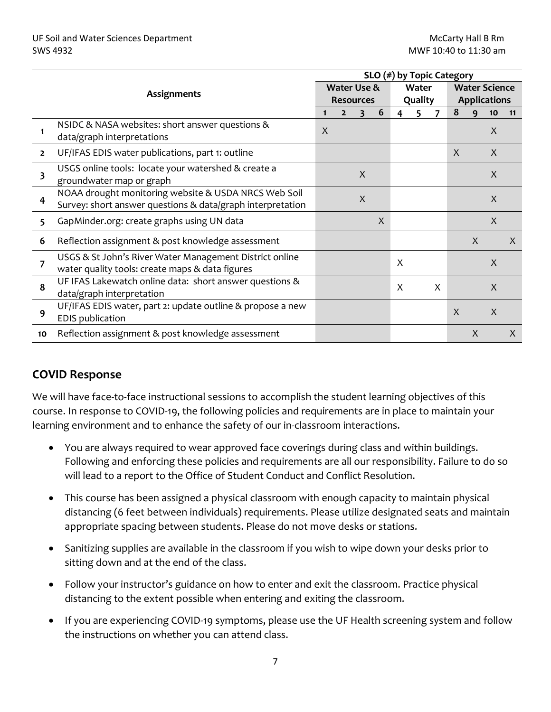|                |                                                                                                                    | $SLO$ (#) by Topic Category |                |                        |              |         |       |   |                      |   |    |              |  |
|----------------|--------------------------------------------------------------------------------------------------------------------|-----------------------------|----------------|------------------------|--------------|---------|-------|---|----------------------|---|----|--------------|--|
|                |                                                                                                                    |                             |                | <b>Water Use &amp;</b> |              |         | Water |   | <b>Water Science</b> |   |    |              |  |
|                | <b>Assignments</b>                                                                                                 |                             |                | <b>Resources</b>       |              | Quality |       |   | <b>Applications</b>  |   |    |              |  |
|                |                                                                                                                    | 1                           | $\overline{2}$ | 3                      | 6            | 4       | 5     |   | 8                    | q | 10 | 11           |  |
|                | NSIDC & NASA websites: short answer questions &<br>data/graph interpretations                                      | $\boldsymbol{X}$            |                |                        |              |         |       |   |                      |   | X  |              |  |
| $\overline{2}$ | UF/IFAS EDIS water publications, part 1: outline                                                                   |                             |                |                        |              |         |       |   | $\mathsf{X}$         |   | X  |              |  |
| 3              | USGS online tools: locate your watershed & create a<br>groundwater map or graph                                    |                             |                | X                      |              |         |       |   |                      |   | X  |              |  |
| 4              | NOAA drought monitoring website & USDA NRCS Web Soil<br>Survey: short answer questions & data/graph interpretation |                             |                | X                      |              |         |       |   |                      |   | X  |              |  |
| 5              | GapMinder.org: create graphs using UN data                                                                         |                             |                |                        | $\mathsf{X}$ |         |       |   |                      |   | X  |              |  |
| 6              | Reflection assignment & post knowledge assessment                                                                  |                             |                |                        |              |         |       |   |                      | X |    | X            |  |
| 7              | USGS & St John's River Water Management District online<br>water quality tools: create maps & data figures         |                             |                |                        |              | X       |       |   |                      |   | X  |              |  |
| 8              | UF IFAS Lakewatch online data: short answer questions &<br>data/graph interpretation                               |                             |                |                        |              | X       |       | X |                      |   | X  |              |  |
| 9              | UF/IFAS EDIS water, part 2: update outline & propose a new<br><b>EDIS publication</b>                              |                             |                |                        |              |         |       |   | $\boldsymbol{X}$     |   | X  |              |  |
| 10             | Reflection assignment & post knowledge assessment                                                                  |                             |                |                        |              |         |       |   |                      | X |    | $\mathsf{X}$ |  |

# **COVID Response**

We will have face-to-face instructional sessions to accomplish the student learning objectives of this course. In response to COVID-19, the following policies and requirements are in place to maintain your learning environment and to enhance the safety of our in-classroom interactions.

- You are always required to wear approved face coverings during class and within buildings. Following and enforcing these policies and requirements are all our responsibility. Failure to do so will lead to a report to the Office of Student Conduct and Conflict Resolution.
- This course has been assigned a physical classroom with enough capacity to maintain physical distancing (6 feet between individuals) requirements. Please utilize designated seats and maintain appropriate spacing between students. Please do not move desks or stations.
- Sanitizing supplies are available in the classroom if you wish to wipe down your desks prior to sitting down and at the end of the class.
- Follow your instructor's guidance on how to enter and exit the classroom. Practice physical distancing to the extent possible when entering and exiting the classroom.
- If you are experiencing COVID-19 symptoms, please use the UF Health screening system and follow the instructions on whether you can attend class.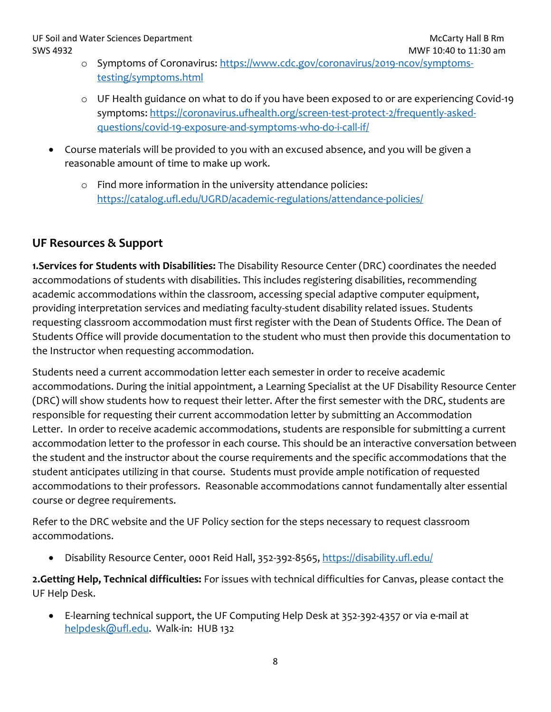- o Symptoms of Coronavirus: [https://www.cdc.gov/coronavirus/2019-ncov/symptoms](https://www.cdc.gov/coronavirus/2019-ncov/symptoms-testing/symptoms.html)[testing/symptoms.html](https://www.cdc.gov/coronavirus/2019-ncov/symptoms-testing/symptoms.html)
- o UF Health guidance on what to do if you have been exposed to or are experiencing Covid-19 symptoms[: https://coronavirus.ufhealth.org/screen-test-protect-2/frequently-asked](https://coronavirus.ufhealth.org/screen-test-protect-2/frequently-asked-questions/covid-19-exposure-and-symptoms-who-do-i-call-if/)[questions/covid-19-exposure-and-symptoms-who-do-i-call-if/](https://coronavirus.ufhealth.org/screen-test-protect-2/frequently-asked-questions/covid-19-exposure-and-symptoms-who-do-i-call-if/)
- Course materials will be provided to you with an excused absence, and you will be given a reasonable amount of time to make up work.
	- o Find more information in the university attendance policies: <https://catalog.ufl.edu/UGRD/academic-regulations/attendance-policies/>

# **UF Resources & Support**

**1.Services for Students with Disabilities:** The Disability Resource Center (DRC) coordinates the needed accommodations of students with disabilities. This includes registering disabilities, recommending academic accommodations within the classroom, accessing special adaptive computer equipment, providing interpretation services and mediating faculty-student disability related issues. Students requesting classroom accommodation must first register with the Dean of Students Office. The Dean of Students Office will provide documentation to the student who must then provide this documentation to the Instructor when requesting accommodation.

Students need a current accommodation letter each semester in order to receive academic accommodations. During the initial appointment, a Learning Specialist at the UF Disability Resource Center (DRC) will show students how to request their letter. After the first semester with the DRC, students are responsible for requesting their current accommodation letter by submitting an Accommodation Letter. In order to receive academic accommodations, students are responsible for submitting a current accommodation letter to the professor in each course. This should be an interactive conversation between the student and the instructor about the course requirements and the specific accommodations that the student anticipates utilizing in that course. Students must provide ample notification of requested accommodations to their professors. Reasonable accommodations cannot fundamentally alter essential course or degree requirements.

Refer to the DRC website and the UF Policy section for the steps necessary to request classroom accommodations.

• Disability Resource Center, 0001 Reid Hall, 352-392-8565,<https://disability.ufl.edu/>

**2.Getting Help, Technical difficulties:** For issues with technical difficulties for Canvas, please contact the UF Help Desk.

• E-learning technical support, the UF Computing Help Desk at 352-392-4357 or via e-mail at [helpdesk@ufl.edu.](mailto:helpdesk@ufl.edu) Walk-in: HUB 132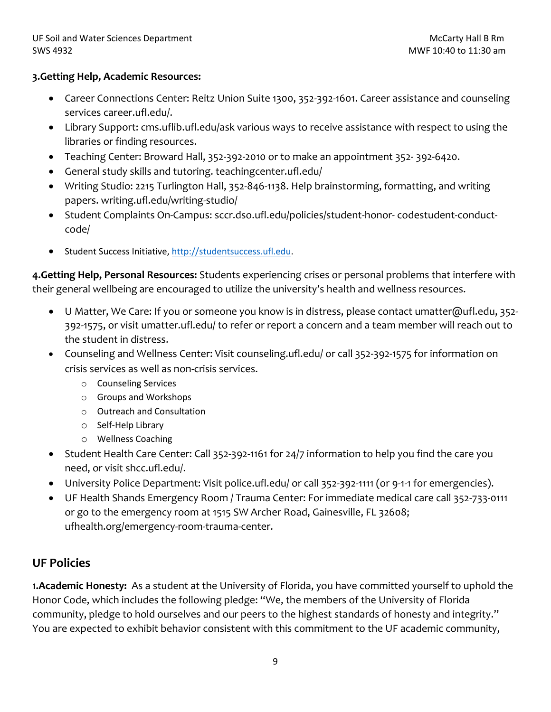#### **3.Getting Help, Academic Resources:**

- Career Connections Center: Reitz Union Suite 1300, 352-392-1601. Career assistance and counseling services career.ufl.edu/.
- Library Support: cms.uflib.ufl.edu/ask various ways to receive assistance with respect to using the libraries or finding resources.
- Teaching Center: Broward Hall, 352-392-2010 or to make an appointment 352- 392-6420.
- General study skills and tutoring. teachingcenter.ufl.edu/
- Writing Studio: 2215 Turlington Hall, 352-846-1138. Help brainstorming, formatting, and writing papers. writing.ufl.edu/writing-studio/
- Student Complaints On-Campus: sccr.dso.ufl.edu/policies/student-honor- codestudent-conductcode/
- Student Success Initiative, [http://studentsuccess.ufl.edu.](http://studentsuccess.ufl.edu/)

**4.Getting Help, Personal Resources:** Students experiencing crises or personal problems that interfere with their general wellbeing are encouraged to utilize the university's health and wellness resources.

- U Matter, We Care: If you or someone you know is in distress, please contact umatter@ufl.edu, 352- 392-1575, or visit umatter.ufl.edu/ to refer or report a concern and a team member will reach out to the student in distress.
- Counseling and Wellness Center: Visit counseling.ufl.edu/ or call 352-392-1575 for information on crisis services as well as non-crisis services.
	- o Counseling Services
	- o Groups and Workshops
	- o Outreach and Consultation
	- o Self-Help Library
	- o Wellness Coaching
- Student Health Care Center: Call 352-392-1161 for 24/7 information to help you find the care you need, or visit shcc.ufl.edu/.
- University Police Department: Visit police.ufl.edu/ or call 352-392-1111 (or 9-1-1 for emergencies).
- UF Health Shands Emergency Room / Trauma Center: For immediate medical care call 352-733-0111 or go to the emergency room at 1515 SW Archer Road, Gainesville, FL 32608; ufhealth.org/emergency-room-trauma-center.

# **UF Policies**

**1.Academic Honesty:** As a student at the University of Florida, you have committed yourself to uphold the Honor Code, which includes the following pledge: "We, the members of the University of Florida community, pledge to hold ourselves and our peers to the highest standards of honesty and integrity." You are expected to exhibit behavior consistent with this commitment to the UF academic community,